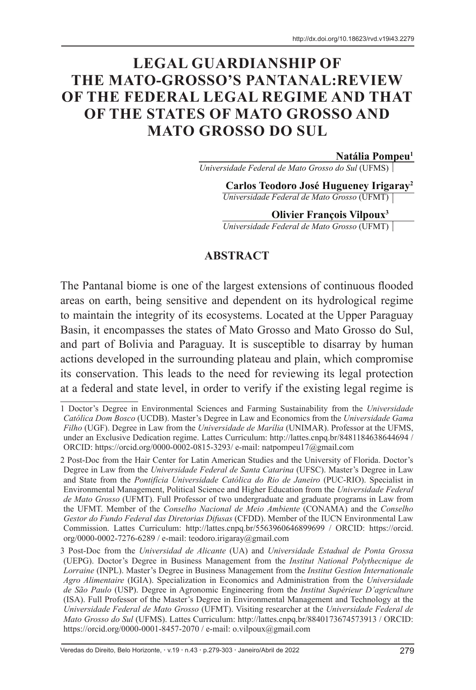# **LEGAL GUARDIANSHIP OF THE MATO-GROSSO'S PANTANAL:REVIEW OF THE FEDERAL LEGAL REGIME AND THAT OF THE STATES OF MATO GROSSO AND MATO GROSSO DO SUL**

**Natália Pompeu1**

*Universidade Federal de Mato Grosso do Sul* (UFMS)

**Carlos Teodoro José Hugueney Irigaray2** *Universidade Federal de Mato Grosso* (UFMT)

#### **Olivier François Vilpoux3**

*Universidade Federal de Mato Grosso* (UFMT)

#### **ABSTRACT**

The Pantanal biome is one of the largest extensions of continuous flooded areas on earth, being sensitive and dependent on its hydrological regime to maintain the integrity of its ecosystems. Located at the Upper Paraguay Basin, it encompasses the states of Mato Grosso and Mato Grosso do Sul, and part of Bolivia and Paraguay. It is susceptible to disarray by human actions developed in the surrounding plateau and plain, which compromise its conservation. This leads to the need for reviewing its legal protection at a federal and state level, in order to verify if the existing legal regime is

<sup>1</sup> Doctor's Degree in Environmental Sciences and Farming Sustainability from the *Universidade Católica Dom Bosco* (UCDB). Master's Degree in Law and Economics from the *Universidade Gama Filho* (UGF). Degree in Law from the *Universidade de Marília* (UNIMAR). Professor at the UFMS, under an Exclusive Dedication regime. Lattes Curriculum: http://lattes.cnpq.br/8481184638644694 / ORCID: https://orcid.org/0000-0002-0815-3293/ e-mail: natpompeu17@gmail.com

<sup>2</sup> Post-Doc from the Hair Center for Latin American Studies and the University of Florida. Doctor's Degree in Law from the *Universidade Federal de Santa Catarina* (UFSC). Master's Degree in Law and State from the *Pontifícia Universidade Católica do Rio de Janeiro* (PUC-RIO). Specialist in Environmental Management, Political Science and Higher Education from the *Universidade Federal de Mato Grosso* (UFMT). Full Professor of two undergraduate and graduate programs in Law from the UFMT. Member of the *Conselho Nacional de Meio Ambiente* (CONAMA) and the *Conselho Gestor do Fundo Federal das Diretorias Difusas* (CFDD). Member of the IUCN Environmental Law Commission. Lattes Curriculum: http://lattes.cnpq.br/5563960646899699 / ORCID: https://orcid. org/0000-0002-7276-6289 / e-mail: teodoro.irigaray@gmail.com

<sup>3</sup> Post-Doc from the *Universidad de Alicante* (UA) and *Universidade Estadual de Ponta Grossa* (UEPG). Doctor's Degree in Business Management from the *Institut National Polythecnique de Lorraine* (INPL). Master's Degree in Business Management from the *Institut Gestion Internationale Agro Alimentaire* (IGIA). Specialization in Economics and Administration from the *Universidade de São Paulo* (USP). Degree in Agronomic Engineering from the *Institut Supérieur D'agriculture* (ISA). Full Professor of the Master's Degree in Environmental Management and Technology at the *Universidade Federal de Mato Grosso* (UFMT). Visiting researcher at the *Universidade Federal de Mato Grosso do Sul* (UFMS). Lattes Curriculum: http://lattes.cnpq.br/8840173674573913 / ORCID: https://orcid.org/0000-0001-8457-2070 / e-mail: o.vilpoux@gmail.com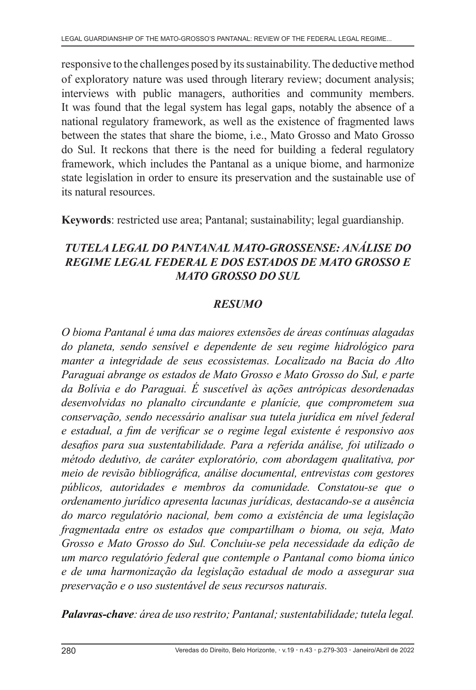responsive to the challenges posed by its sustainability. The deductive method of exploratory nature was used through literary review; document analysis; interviews with public managers, authorities and community members. It was found that the legal system has legal gaps, notably the absence of a national regulatory framework, as well as the existence of fragmented laws between the states that share the biome, i.e., Mato Grosso and Mato Grosso do Sul. It reckons that there is the need for building a federal regulatory framework, which includes the Pantanal as a unique biome, and harmonize state legislation in order to ensure its preservation and the sustainable use of its natural resources.

**Keywords**: restricted use area; Pantanal; sustainability; legal guardianship.

#### *TUTELA LEGAL DO PANTANAL MATO-GROSSENSE: ANÁLISE DO REGIME LEGAL FEDERAL E DOS ESTADOS DE MATO GROSSO E MATO GROSSO DO SUL*

#### *RESUMO*

*O bioma Pantanal é uma das maiores extensões de áreas contínuas alagadas do planeta, sendo sensível e dependente de seu regime hidrológico para manter a integridade de seus ecossistemas. Localizado na Bacia do Alto Paraguai abrange os estados de Mato Grosso e Mato Grosso do Sul, e parte da Bolívia e do Paraguai. É suscetível às ações antrópicas desordenadas desenvolvidas no planalto circundante e planície, que comprometem sua conservação, sendo necessário analisar sua tutela jurídica em nível federal e estadual, a fim de verificar se o regime legal existente é responsivo aos desafios para sua sustentabilidade. Para a referida análise, foi utilizado o método dedutivo, de caráter exploratório, com abordagem qualitativa, por meio de revisão bibliográfica, análise documental, entrevistas com gestores públicos, autoridades e membros da comunidade. Constatou-se que o ordenamento jurídico apresenta lacunas jurídicas, destacando-se a ausência do marco regulatório nacional, bem como a existência de uma legislação fragmentada entre os estados que compartilham o bioma, ou seja, Mato Grosso e Mato Grosso do Sul. Concluiu-se pela necessidade da edição de um marco regulatório federal que contemple o Pantanal como bioma único e de uma harmonização da legislação estadual de modo a assegurar sua preservação e o uso sustentável de seus recursos naturais.*

*Palavras-chave: área de uso restrito; Pantanal; sustentabilidade; tutela legal.*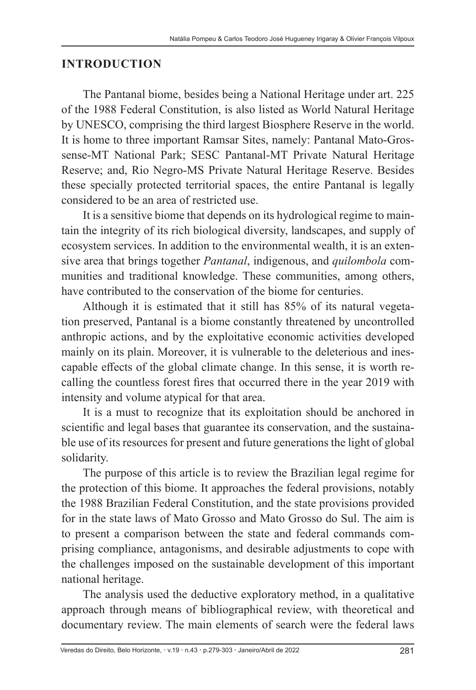#### **INTRODUCTION**

The Pantanal biome, besides being a National Heritage under art. 225 of the 1988 Federal Constitution, is also listed as World Natural Heritage by UNESCO, comprising the third largest Biosphere Reserve in the world. It is home to three important Ramsar Sites, namely: Pantanal Mato-Grossense-MT National Park; SESC Pantanal-MT Private Natural Heritage Reserve; and, Rio Negro-MS Private Natural Heritage Reserve. Besides these specially protected territorial spaces, the entire Pantanal is legally considered to be an area of restricted use.

It is a sensitive biome that depends on its hydrological regime to maintain the integrity of its rich biological diversity, landscapes, and supply of ecosystem services. In addition to the environmental wealth, it is an extensive area that brings together *Pantanal*, indigenous, and *quilombola* communities and traditional knowledge. These communities, among others, have contributed to the conservation of the biome for centuries.

Although it is estimated that it still has 85% of its natural vegetation preserved, Pantanal is a biome constantly threatened by uncontrolled anthropic actions, and by the exploitative economic activities developed mainly on its plain. Moreover, it is vulnerable to the deleterious and inescapable effects of the global climate change. In this sense, it is worth recalling the countless forest fires that occurred there in the year 2019 with intensity and volume atypical for that area.

It is a must to recognize that its exploitation should be anchored in scientific and legal bases that guarantee its conservation, and the sustainable use of its resources for present and future generations the light of global solidarity.

The purpose of this article is to review the Brazilian legal regime for the protection of this biome. It approaches the federal provisions, notably the 1988 Brazilian Federal Constitution, and the state provisions provided for in the state laws of Mato Grosso and Mato Grosso do Sul. The aim is to present a comparison between the state and federal commands comprising compliance, antagonisms, and desirable adjustments to cope with the challenges imposed on the sustainable development of this important national heritage.

The analysis used the deductive exploratory method, in a qualitative approach through means of bibliographical review, with theoretical and documentary review. The main elements of search were the federal laws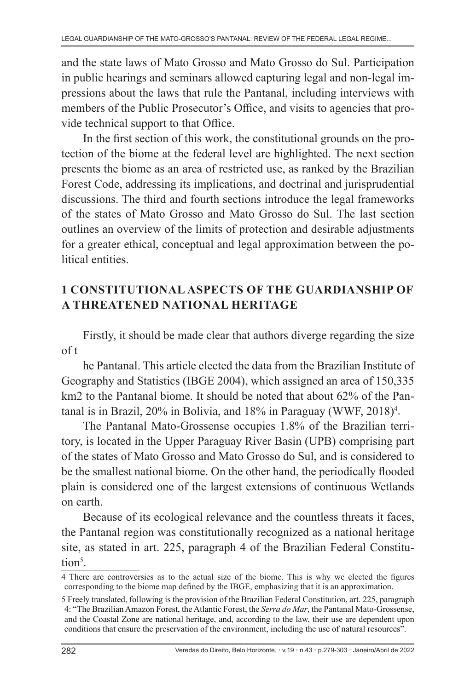and the state laws of Mato Grosso and Mato Grosso do Sul. Participation in public hearings and seminars allowed capturing legal and non-legal impressions about the laws that rule the Pantanal, including interviews with members of the Public Prosecutor's Office, and visits to agencies that provide technical support to that Office.

In the first section of this work, the constitutional grounds on the protection of the biome at the federal level are highlighted. The next section presents the biome as an area of restricted use, as ranked by the Brazilian Forest Code, addressing its implications, and doctrinal and jurisprudential discussions. The third and fourth sections introduce the legal frameworks of the states of Mato Grosso and Mato Grosso do Sul. The last section outlines an overview of the limits of protection and desirable adjustments for a greater ethical, conceptual and legal approximation between the political entities.

# **1 CONSTITUTIONAL ASPECTS OF THE GUARDIANSHIP OF A THREATENED NATIONAL HERITAGE**

Firstly, it should be made clear that authors diverge regarding the size of t

he Pantanal. This article elected the data from the Brazilian Institute of Geography and Statistics (IBGE 2004), which assigned an area of 150,335 km2 to the Pantanal biome. It should be noted that about 62% of the Pantanal is in Brazil, 20% in Bolivia, and 18% in Paraguay (WWF, 2018)<sup>4</sup>.

The Pantanal Mato-Grossense occupies 1.8% of the Brazilian territory, is located in the Upper Paraguay River Basin (UPB) comprising part of the states of Mato Grosso and Mato Grosso do Sul, and is considered to be the smallest national biome. On the other hand, the periodically flooded plain is considered one of the largest extensions of continuous Wetlands on earth.

Because of its ecological relevance and the countless threats it faces, the Pantanal region was constitutionally recognized as a national heritage site, as stated in art. 225, paragraph 4 of the Brazilian Federal Constitution<sup>5</sup>.

<sup>4</sup> There are controversies as to the actual size of the biome. This is why we elected the figures corresponding to the biome map defined by the IBGE, emphasizing that it is an approximation.

<sup>5</sup> Freely translated, following is the provision of the Brazilian Federal Constitution, art. 225, paragraph 4: "The Brazilian Amazon Forest, the Atlantic Forest, the *Serra do Mar*, the Pantanal Mato-Grossense, and the Coastal Zone are national heritage, and, according to the law, their use are dependent upon conditions that ensure the preservation of the environment, including the use of natural resources".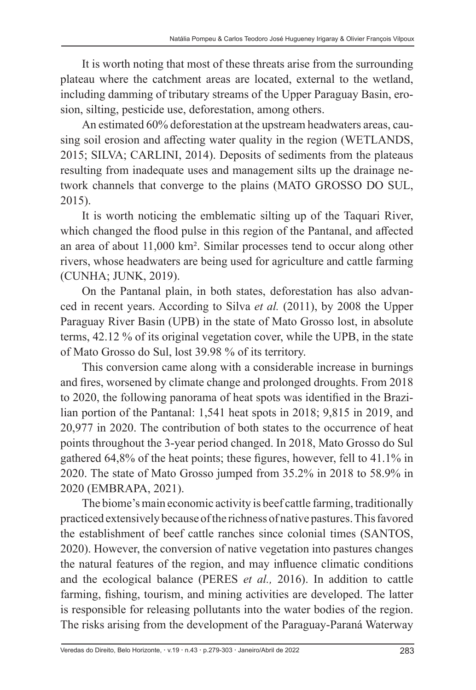It is worth noting that most of these threats arise from the surrounding plateau where the catchment areas are located, external to the wetland, including damming of tributary streams of the Upper Paraguay Basin, erosion, silting, pesticide use, deforestation, among others.

An estimated 60% deforestation at the upstream headwaters areas, causing soil erosion and affecting water quality in the region (WETLANDS, 2015; SILVA; CARLINI, 2014). Deposits of sediments from the plateaus resulting from inadequate uses and management silts up the drainage network channels that converge to the plains (MATO GROSSO DO SUL, 2015).

It is worth noticing the emblematic silting up of the Taquari River, which changed the flood pulse in this region of the Pantanal, and affected an area of about 11,000 km². Similar processes tend to occur along other rivers, whose headwaters are being used for agriculture and cattle farming (CUNHA; JUNK, 2019).

On the Pantanal plain, in both states, deforestation has also advanced in recent years. According to Silva *et al.* (2011), by 2008 the Upper Paraguay River Basin (UPB) in the state of Mato Grosso lost, in absolute terms, 42.12 % of its original vegetation cover, while the UPB, in the state of Mato Grosso do Sul, lost 39.98 % of its territory.

This conversion came along with a considerable increase in burnings and fires, worsened by climate change and prolonged droughts. From 2018 to 2020, the following panorama of heat spots was identified in the Brazilian portion of the Pantanal: 1,541 heat spots in 2018; 9,815 in 2019, and 20,977 in 2020. The contribution of both states to the occurrence of heat points throughout the 3-year period changed. In 2018, Mato Grosso do Sul gathered 64,8% of the heat points; these figures, however, fell to 41.1% in 2020. The state of Mato Grosso jumped from 35.2% in 2018 to 58.9% in 2020 (EMBRAPA, 2021).

The biome's main economic activity is beef cattle farming, traditionally practiced extensively because of the richness of native pastures. This favored the establishment of beef cattle ranches since colonial times (SANTOS, 2020). However, the conversion of native vegetation into pastures changes the natural features of the region, and may influence climatic conditions and the ecological balance (PERES *et al.,* 2016). In addition to cattle farming, fishing, tourism, and mining activities are developed. The latter is responsible for releasing pollutants into the water bodies of the region. The risks arising from the development of the Paraguay-Paraná Waterway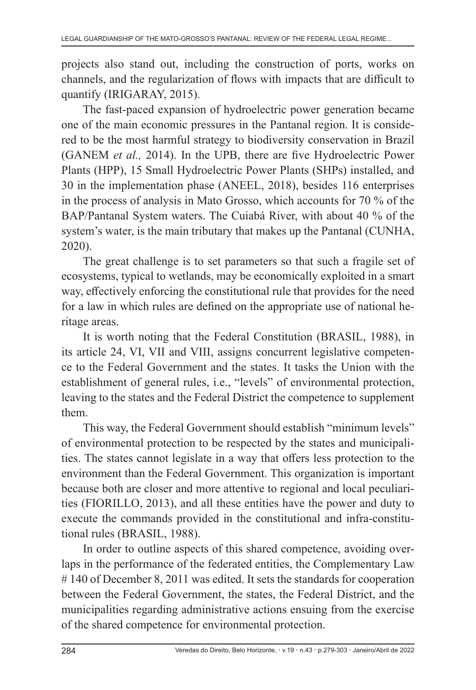projects also stand out, including the construction of ports, works on channels, and the regularization of flows with impacts that are difficult to quantify (IRIGARAY, 2015).

The fast-paced expansion of hydroelectric power generation became one of the main economic pressures in the Pantanal region. It is considered to be the most harmful strategy to biodiversity conservation in Brazil (GANEM *et al.,* 2014). In the UPB, there are five Hydroelectric Power Plants (HPP), 15 Small Hydroelectric Power Plants (SHPs) installed, and 30 in the implementation phase (ANEEL, 2018), besides 116 enterprises in the process of analysis in Mato Grosso, which accounts for 70 % of the BAP/Pantanal System waters. The Cuiabá River, with about 40 % of the system's water, is the main tributary that makes up the Pantanal (CUNHA, 2020).

The great challenge is to set parameters so that such a fragile set of ecosystems, typical to wetlands, may be economically exploited in a smart way, effectively enforcing the constitutional rule that provides for the need for a law in which rules are defined on the appropriate use of national heritage areas.

It is worth noting that the Federal Constitution (BRASIL, 1988), in its article 24, VI, VII and VIII, assigns concurrent legislative competence to the Federal Government and the states. It tasks the Union with the establishment of general rules, i.e., "levels" of environmental protection, leaving to the states and the Federal District the competence to supplement them.

This way, the Federal Government should establish "minimum levels" of environmental protection to be respected by the states and municipalities. The states cannot legislate in a way that offers less protection to the environment than the Federal Government. This organization is important because both are closer and more attentive to regional and local peculiarities (FIORILLO, 2013), and all these entities have the power and duty to execute the commands provided in the constitutional and infra-constitutional rules (BRASIL, 1988).

In order to outline aspects of this shared competence, avoiding overlaps in the performance of the federated entities, the Complementary Law #140 of December 8, 2011 was edited. It sets the standards for cooperation between the Federal Government, the states, the Federal District, and the municipalities regarding administrative actions ensuing from the exercise of the shared competence for environmental protection.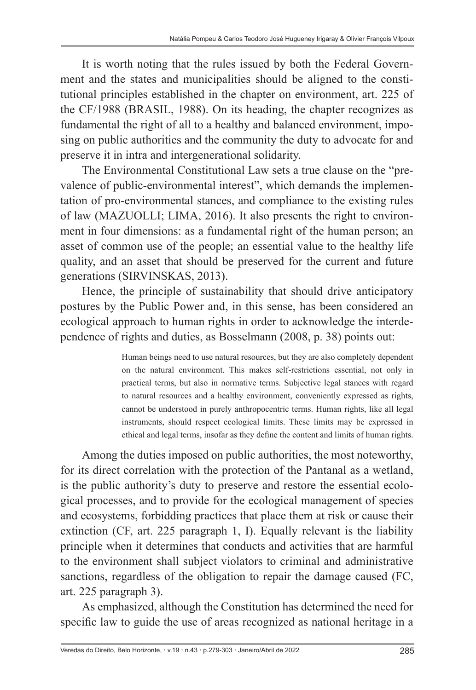It is worth noting that the rules issued by both the Federal Government and the states and municipalities should be aligned to the constitutional principles established in the chapter on environment, art. 225 of the CF/1988 (BRASIL, 1988). On its heading, the chapter recognizes as fundamental the right of all to a healthy and balanced environment, imposing on public authorities and the community the duty to advocate for and preserve it in intra and intergenerational solidarity.

The Environmental Constitutional Law sets a true clause on the "prevalence of public-environmental interest", which demands the implementation of pro-environmental stances, and compliance to the existing rules of law (MAZUOLLI; LIMA, 2016). It also presents the right to environment in four dimensions: as a fundamental right of the human person; an asset of common use of the people; an essential value to the healthy life quality, and an asset that should be preserved for the current and future generations (SIRVINSKAS, 2013).

Hence, the principle of sustainability that should drive anticipatory postures by the Public Power and, in this sense, has been considered an ecological approach to human rights in order to acknowledge the interdependence of rights and duties, as Bosselmann (2008, p. 38) points out:

> Human beings need to use natural resources, but they are also completely dependent on the natural environment. This makes self-restrictions essential, not only in practical terms, but also in normative terms. Subjective legal stances with regard to natural resources and a healthy environment, conveniently expressed as rights, cannot be understood in purely anthropocentric terms. Human rights, like all legal instruments, should respect ecological limits. These limits may be expressed in ethical and legal terms, insofar as they define the content and limits of human rights.

Among the duties imposed on public authorities, the most noteworthy, for its direct correlation with the protection of the Pantanal as a wetland, is the public authority's duty to preserve and restore the essential ecological processes, and to provide for the ecological management of species and ecosystems, forbidding practices that place them at risk or cause their extinction (CF, art. 225 paragraph 1, I). Equally relevant is the liability principle when it determines that conducts and activities that are harmful to the environment shall subject violators to criminal and administrative sanctions, regardless of the obligation to repair the damage caused (FC, art. 225 paragraph 3).

As emphasized, although the Constitution has determined the need for specific law to guide the use of areas recognized as national heritage in a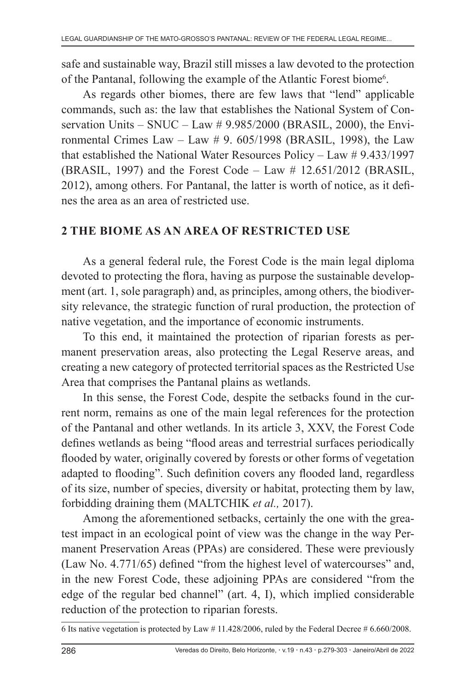safe and sustainable way, Brazil still misses a law devoted to the protection of the Pantanal, following the example of the Atlantic Forest biome<sup>6</sup>.

As regards other biomes, there are few laws that "lend" applicable commands, such as: the law that establishes the National System of Conservation Units – SNUC – Law # 9.985/2000 (BRASIL, 2000), the Environmental Crimes Law – Law  $\#$  9. 605/1998 (BRASIL, 1998), the Law that established the National Water Resources Policy – Law # 9.433/1997 (BRASIL, 1997) and the Forest Code – Law # 12.651/2012 (BRASIL, 2012), among others. For Pantanal, the latter is worth of notice, as it defines the area as an area of restricted use.

### **2 THE BIOME AS AN AREA OF RESTRICTED USE**

As a general federal rule, the Forest Code is the main legal diploma devoted to protecting the flora, having as purpose the sustainable development (art. 1, sole paragraph) and, as principles, among others, the biodiversity relevance, the strategic function of rural production, the protection of native vegetation, and the importance of economic instruments.

To this end, it maintained the protection of riparian forests as permanent preservation areas, also protecting the Legal Reserve areas, and creating a new category of protected territorial spaces as the Restricted Use Area that comprises the Pantanal plains as wetlands.

In this sense, the Forest Code, despite the setbacks found in the current norm, remains as one of the main legal references for the protection of the Pantanal and other wetlands. In its article 3, XXV, the Forest Code defines wetlands as being "flood areas and terrestrial surfaces periodically flooded by water, originally covered by forests or other forms of vegetation adapted to flooding". Such definition covers any flooded land, regardless of its size, number of species, diversity or habitat, protecting them by law, forbidding draining them (MALTCHIK *et al.,* 2017).

Among the aforementioned setbacks, certainly the one with the greatest impact in an ecological point of view was the change in the way Permanent Preservation Areas (PPAs) are considered. These were previously (Law No. 4.771/65) defined "from the highest level of watercourses" and, in the new Forest Code, these adjoining PPAs are considered "from the edge of the regular bed channel" (art. 4, I), which implied considerable reduction of the protection to riparian forests.

<sup>6</sup> Its native vegetation is protected by Law # 11.428/2006, ruled by the Federal Decree # 6.660/2008.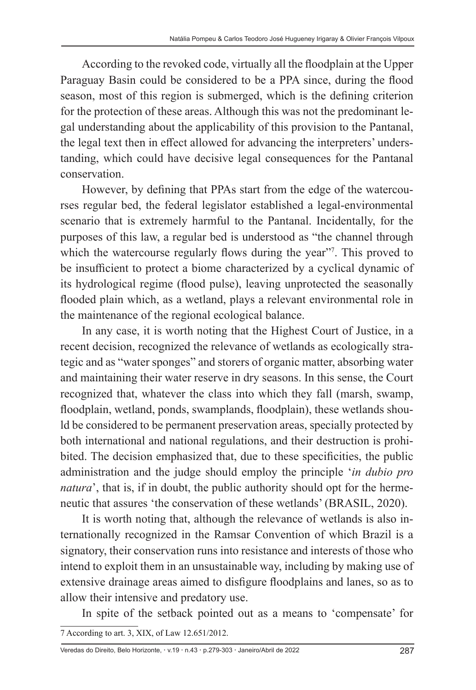According to the revoked code, virtually all the floodplain at the Upper Paraguay Basin could be considered to be a PPA since, during the flood season, most of this region is submerged, which is the defining criterion for the protection of these areas. Although this was not the predominant legal understanding about the applicability of this provision to the Pantanal, the legal text then in effect allowed for advancing the interpreters' understanding, which could have decisive legal consequences for the Pantanal conservation.

However, by defining that PPAs start from the edge of the watercourses regular bed, the federal legislator established a legal-environmental scenario that is extremely harmful to the Pantanal. Incidentally, for the purposes of this law, a regular bed is understood as "the channel through which the watercourse regularly flows during the year"<sup>7</sup>. This proved to be insufficient to protect a biome characterized by a cyclical dynamic of its hydrological regime (flood pulse), leaving unprotected the seasonally flooded plain which, as a wetland, plays a relevant environmental role in the maintenance of the regional ecological balance.

In any case, it is worth noting that the Highest Court of Justice, in a recent decision, recognized the relevance of wetlands as ecologically strategic and as "water sponges" and storers of organic matter, absorbing water and maintaining their water reserve in dry seasons. In this sense, the Court recognized that, whatever the class into which they fall (marsh, swamp, floodplain, wetland, ponds, swamplands, floodplain), these wetlands should be considered to be permanent preservation areas, specially protected by both international and national regulations, and their destruction is prohibited. The decision emphasized that, due to these specificities, the public administration and the judge should employ the principle '*in dubio pro natura*', that is, if in doubt, the public authority should opt for the hermeneutic that assures 'the conservation of these wetlands' (BRASIL, 2020).

It is worth noting that, although the relevance of wetlands is also internationally recognized in the Ramsar Convention of which Brazil is a signatory, their conservation runs into resistance and interests of those who intend to exploit them in an unsustainable way, including by making use of extensive drainage areas aimed to disfigure floodplains and lanes, so as to allow their intensive and predatory use.

In spite of the setback pointed out as a means to 'compensate' for 7 According to art. 3, XIX, of Law 12.651/2012.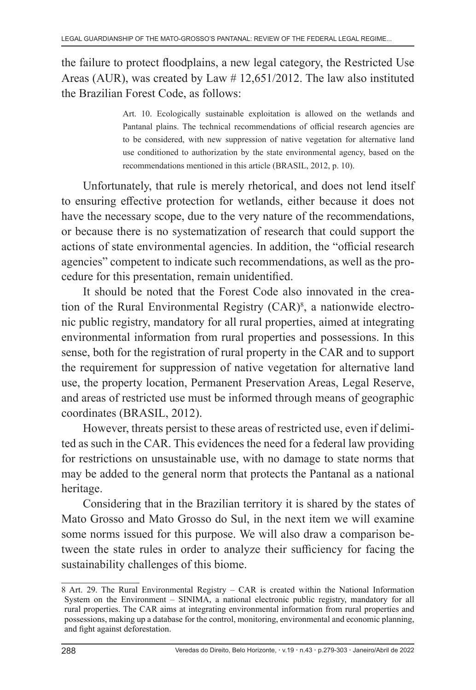the failure to protect floodplains, a new legal category, the Restricted Use Areas (AUR), was created by Law # 12,651/2012. The law also instituted the Brazilian Forest Code, as follows:

> Art. 10. Ecologically sustainable exploitation is allowed on the wetlands and Pantanal plains. The technical recommendations of official research agencies are to be considered, with new suppression of native vegetation for alternative land use conditioned to authorization by the state environmental agency, based on the recommendations mentioned in this article (BRASIL, 2012, p. 10).

Unfortunately, that rule is merely rhetorical, and does not lend itself to ensuring effective protection for wetlands, either because it does not have the necessary scope, due to the very nature of the recommendations, or because there is no systematization of research that could support the actions of state environmental agencies. In addition, the "official research agencies" competent to indicate such recommendations, as well as the procedure for this presentation, remain unidentified.

It should be noted that the Forest Code also innovated in the creation of the Rural Environmental Registry (CAR)<sup>8</sup>, a nationwide electronic public registry, mandatory for all rural properties, aimed at integrating environmental information from rural properties and possessions. In this sense, both for the registration of rural property in the CAR and to support the requirement for suppression of native vegetation for alternative land use, the property location, Permanent Preservation Areas, Legal Reserve, and areas of restricted use must be informed through means of geographic coordinates (BRASIL, 2012).

However, threats persist to these areas of restricted use, even if delimited as such in the CAR. This evidences the need for a federal law providing for restrictions on unsustainable use, with no damage to state norms that may be added to the general norm that protects the Pantanal as a national heritage.

Considering that in the Brazilian territory it is shared by the states of Mato Grosso and Mato Grosso do Sul, in the next item we will examine some norms issued for this purpose. We will also draw a comparison between the state rules in order to analyze their sufficiency for facing the sustainability challenges of this biome.

<sup>8</sup> Art. 29. The Rural Environmental Registry – CAR is created within the National Information System on the Environment – SINIMA, a national electronic public registry, mandatory for all rural properties. The CAR aims at integrating environmental information from rural properties and possessions, making up a database for the control, monitoring, environmental and economic planning, and fight against deforestation.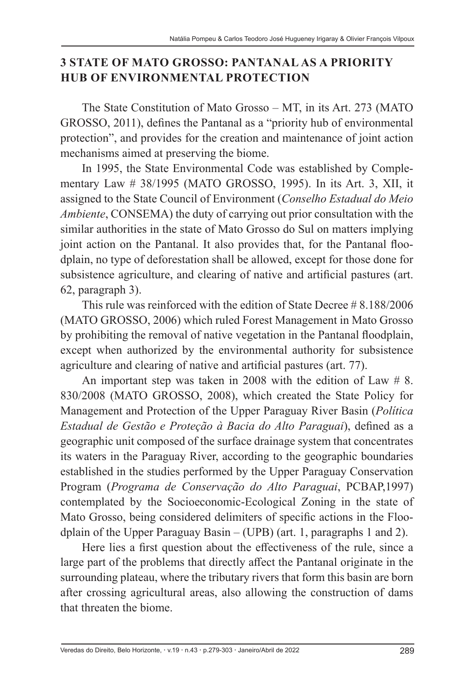### **3 STATE OF MATO GROSSO: PANTANAL AS A PRIORITY HUB OF ENVIRONMENTAL PROTECTION**

The State Constitution of Mato Grosso – MT, in its Art. 273 (MATO GROSSO, 2011), defines the Pantanal as a "priority hub of environmental protection", and provides for the creation and maintenance of joint action mechanisms aimed at preserving the biome.

In 1995, the State Environmental Code was established by Complementary Law # 38/1995 (MATO GROSSO, 1995). In its Art. 3, XII, it assigned to the State Council of Environment (*Conselho Estadual do Meio Ambiente*, CONSEMA) the duty of carrying out prior consultation with the similar authorities in the state of Mato Grosso do Sul on matters implying joint action on the Pantanal. It also provides that, for the Pantanal floodplain, no type of deforestation shall be allowed, except for those done for subsistence agriculture, and clearing of native and artificial pastures (art. 62, paragraph 3).

This rule was reinforced with the edition of State Decree # 8.188/2006 (MATO GROSSO, 2006) which ruled Forest Management in Mato Grosso by prohibiting the removal of native vegetation in the Pantanal floodplain, except when authorized by the environmental authority for subsistence agriculture and clearing of native and artificial pastures (art. 77).

An important step was taken in 2008 with the edition of Law  $# 8$ . 830/2008 (MATO GROSSO, 2008), which created the State Policy for Management and Protection of the Upper Paraguay River Basin (*Política Estadual de Gestão e Proteção à Bacia do Alto Paraguai*), defined as a geographic unit composed of the surface drainage system that concentrates its waters in the Paraguay River, according to the geographic boundaries established in the studies performed by the Upper Paraguay Conservation Program (*Programa de Conservação do Alto Paraguai*, PCBAP,1997) contemplated by the Socioeconomic-Ecological Zoning in the state of Mato Grosso, being considered delimiters of specific actions in the Floodplain of the Upper Paraguay Basin – (UPB) (art. 1, paragraphs 1 and 2).

Here lies a first question about the effectiveness of the rule, since a large part of the problems that directly affect the Pantanal originate in the surrounding plateau, where the tributary rivers that form this basin are born after crossing agricultural areas, also allowing the construction of dams that threaten the biome.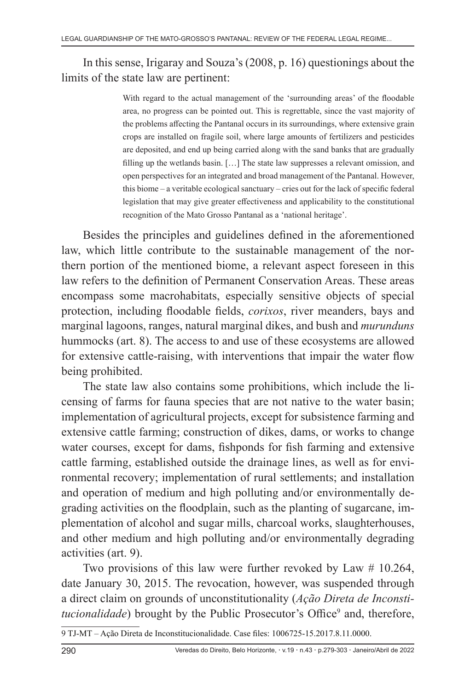### In this sense, Irigaray and Souza's (2008, p. 16) questionings about the limits of the state law are pertinent:

With regard to the actual management of the 'surrounding areas' of the floodable area, no progress can be pointed out. This is regrettable, since the vast majority of the problems affecting the Pantanal occurs in its surroundings, where extensive grain crops are installed on fragile soil, where large amounts of fertilizers and pesticides are deposited, and end up being carried along with the sand banks that are gradually filling up the wetlands basin. […] The state law suppresses a relevant omission, and open perspectives for an integrated and broad management of the Pantanal. However, this biome – a veritable ecological sanctuary – cries out for the lack of specific federal legislation that may give greater effectiveness and applicability to the constitutional recognition of the Mato Grosso Pantanal as a 'national heritage'.

Besides the principles and guidelines defined in the aforementioned law, which little contribute to the sustainable management of the northern portion of the mentioned biome, a relevant aspect foreseen in this law refers to the definition of Permanent Conservation Areas. These areas encompass some macrohabitats, especially sensitive objects of special protection, including floodable fields, *corixos*, river meanders, bays and marginal lagoons, ranges, natural marginal dikes, and bush and *murunduns* hummocks (art. 8). The access to and use of these ecosystems are allowed for extensive cattle-raising, with interventions that impair the water flow being prohibited.

The state law also contains some prohibitions, which include the licensing of farms for fauna species that are not native to the water basin; implementation of agricultural projects, except for subsistence farming and extensive cattle farming; construction of dikes, dams, or works to change water courses, except for dams, fishponds for fish farming and extensive cattle farming, established outside the drainage lines, as well as for environmental recovery; implementation of rural settlements; and installation and operation of medium and high polluting and/or environmentally degrading activities on the floodplain, such as the planting of sugarcane, implementation of alcohol and sugar mills, charcoal works, slaughterhouses, and other medium and high polluting and/or environmentally degrading activities (art. 9).

Two provisions of this law were further revoked by Law # 10.264, date January 30, 2015. The revocation, however, was suspended through a direct claim on grounds of unconstitutionality (*Ação Direta de Inconsti*tucionalidade) brought by the Public Prosecutor's Office<sup>9</sup> and, therefore,

<sup>9</sup> TJ-MT – Ação Direta de Inconstitucionalidade. Case files: 1006725-15.2017.8.11.0000.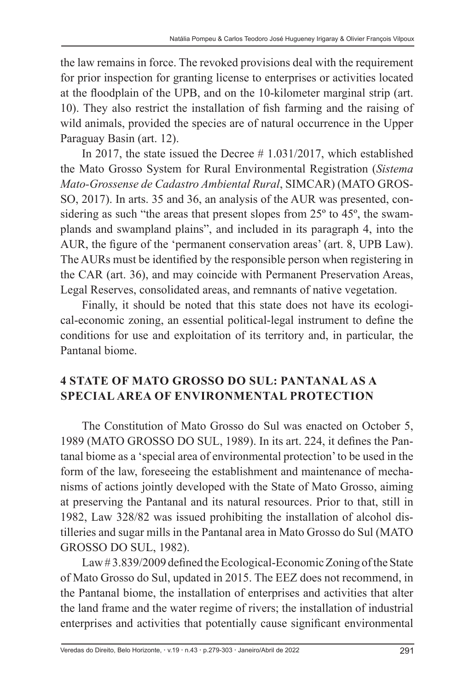the law remains in force. The revoked provisions deal with the requirement for prior inspection for granting license to enterprises or activities located at the floodplain of the UPB, and on the 10-kilometer marginal strip (art. 10). They also restrict the installation of fish farming and the raising of wild animals, provided the species are of natural occurrence in the Upper Paraguay Basin (art. 12).

In 2017, the state issued the Decree # 1.031/2017, which established the Mato Grosso System for Rural Environmental Registration (*Sistema Mato-Grossense de Cadastro Ambiental Rural*, SIMCAR) (MATO GROS-SO, 2017). In arts. 35 and 36, an analysis of the AUR was presented, considering as such "the areas that present slopes from 25<sup>°</sup> to 45<sup>°</sup>, the swamplands and swampland plains", and included in its paragraph 4, into the AUR, the figure of the 'permanent conservation areas' (art. 8, UPB Law). The AURs must be identified by the responsible person when registering in the CAR (art. 36), and may coincide with Permanent Preservation Areas, Legal Reserves, consolidated areas, and remnants of native vegetation.

Finally, it should be noted that this state does not have its ecological-economic zoning, an essential political-legal instrument to define the conditions for use and exploitation of its territory and, in particular, the Pantanal biome.

# **4 STATE OF MATO GROSSO DO SUL: PANTANAL AS A SPECIAL AREA OF ENVIRONMENTAL PROTECTION**

The Constitution of Mato Grosso do Sul was enacted on October 5, 1989 (MATO GROSSO DO SUL, 1989). In its art. 224, it defines the Pantanal biome as a 'special area of environmental protection' to be used in the form of the law, foreseeing the establishment and maintenance of mechanisms of actions jointly developed with the State of Mato Grosso, aiming at preserving the Pantanal and its natural resources. Prior to that, still in 1982, Law 328/82 was issued prohibiting the installation of alcohol distilleries and sugar mills in the Pantanal area in Mato Grosso do Sul (MATO GROSSO DO SUL, 1982).

Law # 3.839/2009 defined the Ecological-Economic Zoning of the State of Mato Grosso do Sul, updated in 2015. The EEZ does not recommend, in the Pantanal biome, the installation of enterprises and activities that alter the land frame and the water regime of rivers; the installation of industrial enterprises and activities that potentially cause significant environmental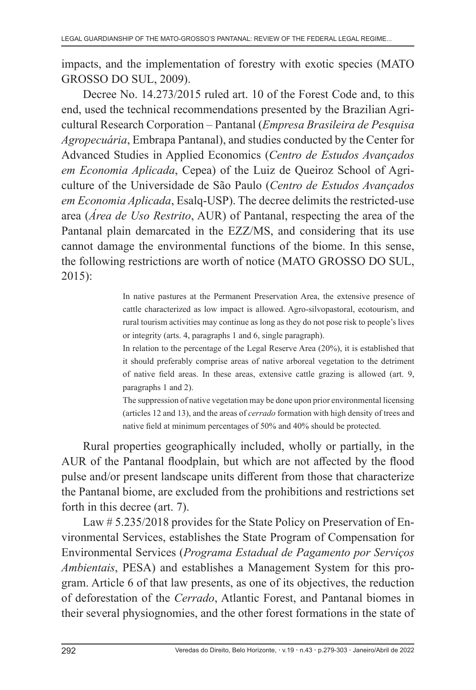impacts, and the implementation of forestry with exotic species (MATO GROSSO DO SUL, 2009).

Decree No. 14.273/2015 ruled art. 10 of the Forest Code and, to this end, used the technical recommendations presented by the Brazilian Agricultural Research Corporation – Pantanal (*Empresa Brasileira de Pesquisa Agropecuária*, Embrapa Pantanal), and studies conducted by the Center for Advanced Studies in Applied Economics (*Centro de Estudos Avançados em Economia Aplicada*, Cepea) of the Luiz de Queiroz School of Agriculture of the Universidade de São Paulo (*Centro de Estudos Avançados em Economia Aplicada*, Esalq-USP). The decree delimits the restricted-use area (*Área de Uso Restrito*, AUR) of Pantanal, respecting the area of the Pantanal plain demarcated in the EZZ/MS, and considering that its use cannot damage the environmental functions of the biome. In this sense, the following restrictions are worth of notice (MATO GROSSO DO SUL, 2015):

> In native pastures at the Permanent Preservation Area, the extensive presence of cattle characterized as low impact is allowed. Agro-silvopastoral, ecotourism, and rural tourism activities may continue as long as they do not pose risk to people's lives or integrity (arts. 4, paragraphs 1 and 6, single paragraph).

> In relation to the percentage of the Legal Reserve Area (20%), it is established that it should preferably comprise areas of native arboreal vegetation to the detriment of native field areas. In these areas, extensive cattle grazing is allowed (art. 9, paragraphs 1 and 2).

> The suppression of native vegetation may be done upon prior environmental licensing (articles 12 and 13), and the areas of *cerrado* formation with high density of trees and native field at minimum percentages of 50% and 40% should be protected.

Rural properties geographically included, wholly or partially, in the AUR of the Pantanal floodplain, but which are not affected by the flood pulse and/or present landscape units different from those that characterize the Pantanal biome, are excluded from the prohibitions and restrictions set forth in this decree (art. 7).

Law # 5.235/2018 provides for the State Policy on Preservation of Environmental Services, establishes the State Program of Compensation for Environmental Services (*Programa Estadual de Pagamento por Serviços Ambientais*, PESA) and establishes a Management System for this program. Article 6 of that law presents, as one of its objectives, the reduction of deforestation of the *Cerrado*, Atlantic Forest, and Pantanal biomes in their several physiognomies, and the other forest formations in the state of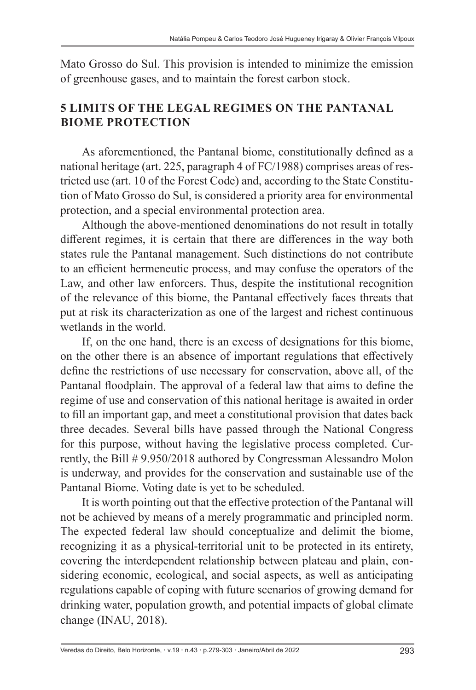Mato Grosso do Sul. This provision is intended to minimize the emission of greenhouse gases, and to maintain the forest carbon stock.

# **5 LIMITS OF THE LEGAL REGIMES ON THE PANTANAL BIOME PROTECTION**

As aforementioned, the Pantanal biome, constitutionally defined as a national heritage (art. 225, paragraph 4 of FC/1988) comprises areas of restricted use (art. 10 of the Forest Code) and, according to the State Constitution of Mato Grosso do Sul, is considered a priority area for environmental protection, and a special environmental protection area.

Although the above-mentioned denominations do not result in totally different regimes, it is certain that there are differences in the way both states rule the Pantanal management. Such distinctions do not contribute to an efficient hermeneutic process, and may confuse the operators of the Law, and other law enforcers. Thus, despite the institutional recognition of the relevance of this biome, the Pantanal effectively faces threats that put at risk its characterization as one of the largest and richest continuous wetlands in the world.

If, on the one hand, there is an excess of designations for this biome, on the other there is an absence of important regulations that effectively define the restrictions of use necessary for conservation, above all, of the Pantanal floodplain. The approval of a federal law that aims to define the regime of use and conservation of this national heritage is awaited in order to fill an important gap, and meet a constitutional provision that dates back three decades. Several bills have passed through the National Congress for this purpose, without having the legislative process completed. Currently, the Bill # 9.950/2018 authored by Congressman Alessandro Molon is underway, and provides for the conservation and sustainable use of the Pantanal Biome. Voting date is yet to be scheduled.

It is worth pointing out that the effective protection of the Pantanal will not be achieved by means of a merely programmatic and principled norm. The expected federal law should conceptualize and delimit the biome, recognizing it as a physical-territorial unit to be protected in its entirety, covering the interdependent relationship between plateau and plain, considering economic, ecological, and social aspects, as well as anticipating regulations capable of coping with future scenarios of growing demand for drinking water, population growth, and potential impacts of global climate change (INAU, 2018).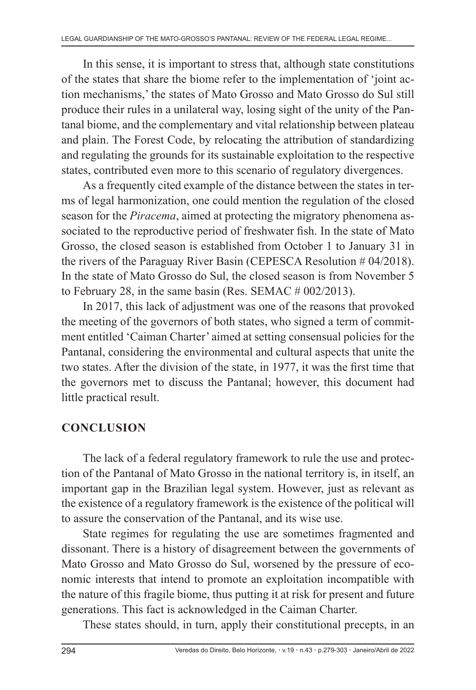In this sense, it is important to stress that, although state constitutions of the states that share the biome refer to the implementation of 'joint action mechanisms,' the states of Mato Grosso and Mato Grosso do Sul still produce their rules in a unilateral way, losing sight of the unity of the Pantanal biome, and the complementary and vital relationship between plateau and plain. The Forest Code, by relocating the attribution of standardizing and regulating the grounds for its sustainable exploitation to the respective states, contributed even more to this scenario of regulatory divergences.

As a frequently cited example of the distance between the states in terms of legal harmonization, one could mention the regulation of the closed season for the *Piracema*, aimed at protecting the migratory phenomena associated to the reproductive period of freshwater fish. In the state of Mato Grosso, the closed season is established from October 1 to January 31 in the rivers of the Paraguay River Basin (CEPESCA Resolution # 04/2018). In the state of Mato Grosso do Sul, the closed season is from November 5 to February 28, in the same basin (Res. SEMAC # 002/2013).

In 2017, this lack of adjustment was one of the reasons that provoked the meeting of the governors of both states, who signed a term of commitment entitled 'Caiman Charter' aimed at setting consensual policies for the Pantanal, considering the environmental and cultural aspects that unite the two states. After the division of the state, in 1977, it was the first time that the governors met to discuss the Pantanal; however, this document had little practical result.

# **CONCLUSION**

The lack of a federal regulatory framework to rule the use and protection of the Pantanal of Mato Grosso in the national territory is, in itself, an important gap in the Brazilian legal system. However, just as relevant as the existence of a regulatory framework is the existence of the political will to assure the conservation of the Pantanal, and its wise use.

State regimes for regulating the use are sometimes fragmented and dissonant. There is a history of disagreement between the governments of Mato Grosso and Mato Grosso do Sul, worsened by the pressure of economic interests that intend to promote an exploitation incompatible with the nature of this fragile biome, thus putting it at risk for present and future generations. This fact is acknowledged in the Caiman Charter.

These states should, in turn, apply their constitutional precepts, in an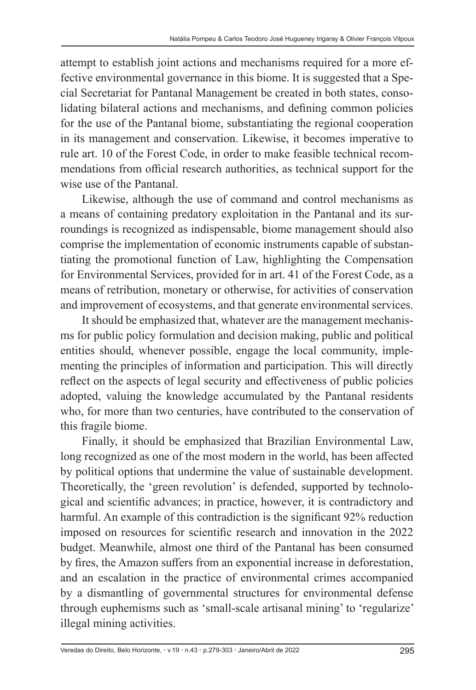attempt to establish joint actions and mechanisms required for a more effective environmental governance in this biome. It is suggested that a Special Secretariat for Pantanal Management be created in both states, consolidating bilateral actions and mechanisms, and defining common policies for the use of the Pantanal biome, substantiating the regional cooperation in its management and conservation. Likewise, it becomes imperative to rule art. 10 of the Forest Code, in order to make feasible technical recommendations from official research authorities, as technical support for the wise use of the Pantanal.

Likewise, although the use of command and control mechanisms as a means of containing predatory exploitation in the Pantanal and its surroundings is recognized as indispensable, biome management should also comprise the implementation of economic instruments capable of substantiating the promotional function of Law, highlighting the Compensation for Environmental Services, provided for in art. 41 of the Forest Code, as a means of retribution, monetary or otherwise, for activities of conservation and improvement of ecosystems, and that generate environmental services.

It should be emphasized that, whatever are the management mechanisms for public policy formulation and decision making, public and political entities should, whenever possible, engage the local community, implementing the principles of information and participation. This will directly reflect on the aspects of legal security and effectiveness of public policies adopted, valuing the knowledge accumulated by the Pantanal residents who, for more than two centuries, have contributed to the conservation of this fragile biome.

Finally, it should be emphasized that Brazilian Environmental Law, long recognized as one of the most modern in the world, has been affected by political options that undermine the value of sustainable development. Theoretically, the 'green revolution' is defended, supported by technological and scientific advances; in practice, however, it is contradictory and harmful. An example of this contradiction is the significant 92% reduction imposed on resources for scientific research and innovation in the 2022 budget. Meanwhile, almost one third of the Pantanal has been consumed by fires, the Amazon suffers from an exponential increase in deforestation, and an escalation in the practice of environmental crimes accompanied by a dismantling of governmental structures for environmental defense through euphemisms such as 'small-scale artisanal mining' to 'regularize' illegal mining activities.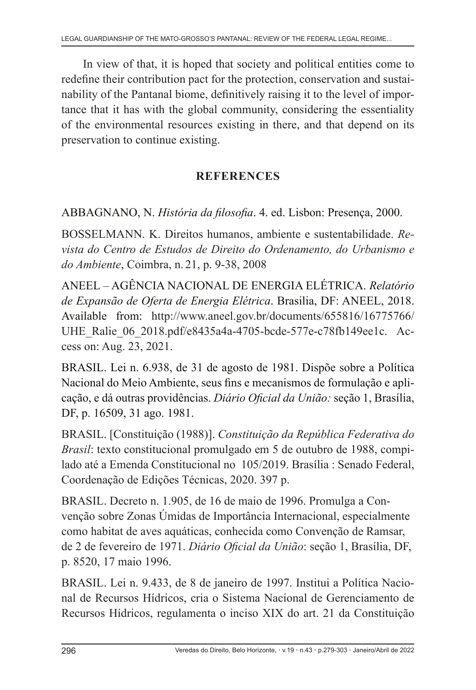In view of that, it is hoped that society and political entities come to redefine their contribution pact for the protection, conservation and sustainability of the Pantanal biome, definitively raising it to the level of importance that it has with the global community, considering the essentiality of the environmental resources existing in there, and that depend on its preservation to continue existing.

# **REFERENCES**

ABBAGNANO, N. *História da filosofia*. 4. ed. Lisbon: Presença, 2000.

BOSSELMANN. K. Direitos humanos, ambiente e sustentabilidade. *Revista do Centro de Estudos de Direito do Ordenamento, do Urbanismo e do Ambiente*, Coimbra, n. 21, p. 9-38, 2008

ANEEL – AGÊNCIA NACIONAL DE ENERGIA ELÉTRICA. *Relatório de Expansão de Oferta de Energia Elétrica*. Brasilia, DF: ANEEL, 2018. Available from: http://www.aneel.gov.br/documents/655816/16775766/ UHE\_Ralie\_06\_2018.pdf/e8435a4a-4705-bcde-577e-c78fb149ee1c. Access on: Aug. 23, 2021.

BRASIL. Lei n. 6.938, de 31 de agosto de 1981. Dispõe sobre a Política Nacional do Meio Ambiente, seus fins e mecanismos de formulação e aplicação, e dá outras providências. *Diário Oficial da União:* seção 1, Brasília, DF, p. 16509, 31 ago. 1981.

BRASIL. [Constituição (1988)]. *Constituição da República Federativa do Brasil*: texto constitucional promulgado em 5 de outubro de 1988, compilado até a Emenda Constitucional no 105/2019. Brasília : Senado Federal, Coordenação de Edições Técnicas, 2020. 397 p.

BRASIL. Decreto n. 1.905, de 16 de maio de 1996. Promulga a Convenção sobre Zonas Úmidas de Importância Internacional, especialmente como habitat de aves aquáticas, conhecida como Convenção de Ramsar, de 2 de fevereiro de 1971. *Diário Oficial da União*: seção 1, Brasília, DF, p. 8520, 17 maio 1996.

BRASIL. Lei n. 9.433, de 8 de janeiro de 1997. Institui a Política Nacional de Recursos Hídricos, cria o Sistema Nacional de Gerenciamento de Recursos Hídricos, regulamenta o inciso XIX do art. 21 da Constituição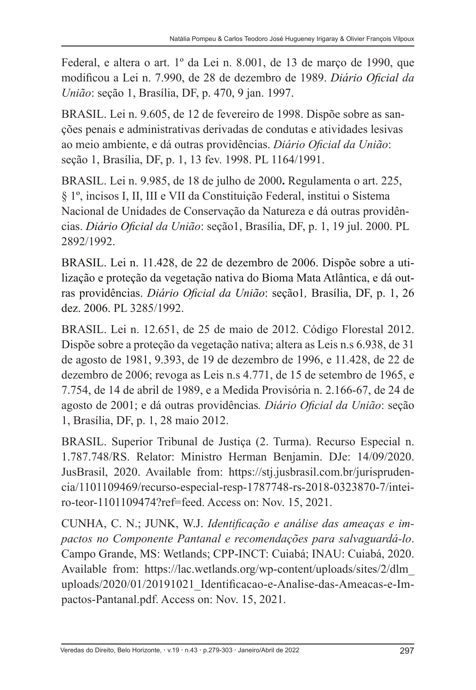Federal, e altera o art. 1º da Lei n. 8.001, de 13 de março de 1990, que modificou a Lei n. 7.990, de 28 de dezembro de 1989. *Diário Oficial da União*: seção 1, Brasília, DF, p. 470, 9 jan. 1997.

BRASIL. Lei n. 9.605, de 12 de fevereiro de 1998. Dispõe sobre as sanções penais e administrativas derivadas de condutas e atividades lesivas ao meio ambiente, e dá outras providências. *Diário Oficial da União*: seção 1, Brasília, DF, p. 1, 13 fev. 1998. PL 1164/1991.

BRASIL. Lei n. 9.985, de 18 de julho de 2000**.** Regulamenta o art. 225, § 1º, incisos I, II, III e VII da Constituição Federal, institui o Sistema Nacional de Unidades de Conservação da Natureza e dá outras providências. *Diário Oficial da União*: seção1, Brasília, DF, p. 1, 19 jul. 2000. PL 2892/1992.

BRASIL. Lei n. 11.428, de 22 de dezembro de 2006. Dispõe sobre a utilização e proteção da vegetação nativa do Bioma Mata Atlântica, e dá outras providências. *Diário Oficial da União*: seção1*,* Brasília, DF, p. 1, 26 dez. 2006. PL 3285/1992.

BRASIL. Lei n. 12.651, de 25 de maio de 2012. Código Florestal 2012. Dispõe sobre a proteção da vegetação nativa; altera as Leis n.s 6.938, de 31 de agosto de 1981, 9.393, de 19 de dezembro de 1996, e 11.428, de 22 de dezembro de 2006; revoga as Leis n.s 4.771, de 15 de setembro de 1965, e 7.754, de 14 de abril de 1989, e a Medida Provisória n. 2.166-67, de 24 de agosto de 2001; e dá outras providências*. Diário Oficial da União*: seção 1, Brasília, DF, p. 1, 28 maio 2012.

BRASIL. Superior Tribunal de Justiça (2. Turma). Recurso Especial n. 1.787.748/RS. Relator: Ministro Herman Benjamin. DJe: 14/09/2020. JusBrasil, 2020. Available from: https://stj.jusbrasil.com.br/jurisprudencia/1101109469/recurso-especial-resp-1787748-rs-2018-0323870-7/inteiro-teor-1101109474?ref=feed. Access on: Nov. 15, 2021.

CUNHA, C. N.; JUNK, W.J. *Identificação e análise das ameaças e impactos no Componente Pantanal e recomendações para salvaguardá-lo*. Campo Grande, MS: Wetlands; CPP-INCT: Cuiabá; INAU: Cuiabá, 2020. Available from: https://lac.wetlands.org/wp-content/uploads/sites/2/dlm\_ uploads/2020/01/20191021\_Identificacao-e-Analise-das-Ameacas-e-Impactos-Pantanal.pdf. Access on: Nov. 15, 2021.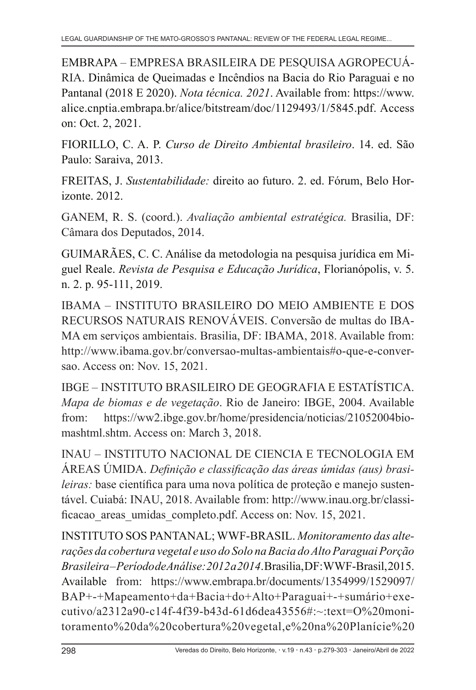EMBRAPA – EMPRESA BRASILEIRA DE PESQUISA AGROPECUÁ-RIA. Dinâmica de Queimadas e Incêndios na Bacia do Rio Paraguai e no Pantanal (2018 E 2020). *Nota técnica. 2021*. Available from: https://www. alice.cnptia.embrapa.br/alice/bitstream/doc/1129493/1/5845.pdf. Access on: Oct. 2, 2021.

FIORILLO, C. A. P. *Curso de Direito Ambiental brasileiro*. 14. ed. São Paulo: Saraiva, 2013.

FREITAS, J. *Sustentabilidade:* direito ao futuro. 2. ed. Fórum, Belo Horizonte. 2012.

GANEM, R. S. (coord.). *Avaliação ambiental estratégica.* Brasilia, DF: Câmara dos Deputados, 2014.

GUIMARÃES, C. C. Análise da metodologia na pesquisa jurídica em Miguel Reale. *Revista de Pesquisa e Educação Jurídica*, Florianópolis, v. 5. n. 2. p. 95-111, 2019.

IBAMA – INSTITUTO BRASILEIRO DO MEIO AMBIENTE E DOS RECURSOS NATURAIS RENOVÁVEIS. Conversão de multas do IBA-MA em serviços ambientais. Brasilia, DF: IBAMA, 2018. Available from: http://www.ibama.gov.br/conversao-multas-ambientais#o-que-e-conversao. Access on: Nov. 15, 2021.

IBGE – INSTITUTO BRASILEIRO DE GEOGRAFIA E ESTATÍSTICA. *Mapa de biomas e de vegetação*. Rio de Janeiro: IBGE, 2004. Available from: https://ww2.ibge.gov.br/home/presidencia/noticias/21052004biomashtml.shtm. Access on: March 3, 2018.

INAU – INSTITUTO NACIONAL DE CIENCIA E TECNOLOGIA EM ÁREAS ÚMIDA. *Definição e classificação das áreas úmidas (aus) brasileiras:* base científica para uma nova política de proteção e manejo sustentável. Cuiabá: INAU, 2018. Available from: http://www.inau.org.br/classificacao areas umidas completo.pdf. Access on: Nov. 15, 2021.

INSTITUTO SOS PANTANAL; WWF-BRASIL. *Monitoramento das alterações da cobertura vegetal e uso do Solo na Bacia do Alto Paraguai Porção Brasileira – Período de Análise: 2012 a 2014*. Brasilia, DF: WWF-Brasil, 2015. Available from: https://www.embrapa.br/documents/1354999/1529097/ BAP+-+Mapeamento+da+Bacia+do+Alto+Paraguai+-+sumário+executivo/a2312a90-c14f-4f39-b43d-61d6dea43556#:~:text=O%20monitoramento%20da%20cobertura%20vegetal,e%20na%20Planície%20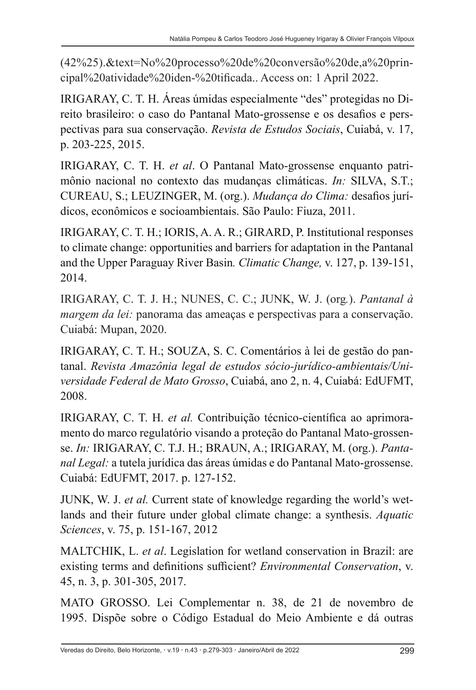(42%25).&text=No%20processo%20de%20conversão%20de,a%20principal%20atividade%20iden-%20tificada.. Access on: 1 April 2022.

IRIGARAY, C. T. H. Áreas úmidas especialmente "des" protegidas no Direito brasileiro: o caso do Pantanal Mato-grossense e os desafios e perspectivas para sua conservação. *Revista de Estudos Sociais*, Cuiabá, v. 17, p. 203-225, 2015.

IRIGARAY, C. T. H. *et al*. O Pantanal Mato-grossense enquanto patrimônio nacional no contexto das mudanças climáticas. *In:* SILVA, S.T.; CUREAU, S.; LEUZINGER, M. (org.). *Mudança do Clima:* desafios jurídicos, econômicos e socioambientais. São Paulo: Fiuza, 2011.

IRIGARAY, C. T. H.; IORIS, A. A. R.; GIRARD, P. Institutional responses to climate change: opportunities and barriers for adaptation in the Pantanal and the Upper Paraguay River Basin*. Climatic Change,* v. 127, p. 139-151, 2014.

IRIGARAY, C. T. J. H.; NUNES, C. C.; JUNK, W. J. (org*.*). *Pantanal à margem da lei:* panorama das ameaças e perspectivas para a conservação. Cuiabá: Mupan, 2020.

IRIGARAY, C. T. H.; SOUZA, S. C. Comentários à lei de gestão do pantanal. *Revista Amazônia legal de estudos sócio-jurídico-ambientais/Universidade Federal de Mato Grosso*, Cuiabá, ano 2, n. 4, Cuiabá: EdUFMT, 2008.

IRIGARAY, C. T. H. *et al.* Contribuição técnico-científica ao aprimoramento do marco regulatório visando a proteção do Pantanal Mato-grossense. *In:* IRIGARAY, C. T.J. H.; BRAUN, A.; IRIGARAY, M. (org.). *Pantanal Legal:* a tutela jurídica das áreas úmidas e do Pantanal Mato-grossense. Cuiabá: EdUFMT, 2017. p. 127-152.

JUNK, W. J. *et al.* Current state of knowledge regarding the world's wetlands and their future under global climate change: a synthesis. *Aquatic Sciences*, v. 75, p. 151-167, 2012

MALTCHIK, L. *et al*. Legislation for wetland conservation in Brazil: are existing terms and definitions sufficient? *Environmental Conservation*, v. 45, n. 3, p. 301-305, 2017.

MATO GROSSO. Lei Complementar n. 38, de 21 de novembro de 1995. Dispõe sobre o Código Estadual do Meio Ambiente e dá outras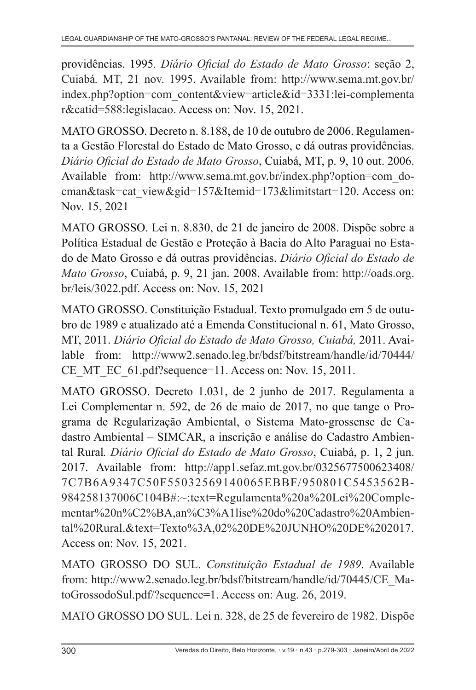providências. 1995*. Diário Oficial do Estado de Mato Grosso*: seção 2, Cuiabá*,* MT, 21 nov. 1995. Available from: http://www.sema.mt.gov.br/ index.php?option=com\_content&view=article&id=3331:lei-complementa r&catid=588:legislacao. Access on: Nov. 15, 2021.

MATO GROSSO. Decreto n. 8.188, de 10 de outubro de 2006. Regulamenta a Gestão Florestal do Estado de Mato Grosso, e dá outras providências. *Diário Oficial do Estado de Mato Grosso*, Cuiabá, MT, p. 9, 10 out. 2006. Available from: http://www.sema.mt.gov.br/index.php?option=com\_docman&task=cat\_view&gid=157&Itemid=173&limitstart=120. Access on: Nov. 15, 2021

MATO GROSSO. Lei n. 8.830, de 21 de janeiro de 2008. Dispõe sobre a Política Estadual de Gestão e Proteção à Bacia do Alto Paraguai no Estado de Mato Grosso e dá outras providências. *Diário Oficial do Estado de Mato Grosso*, Cuiabá, p. 9, 21 jan. 2008. Available from: http://oads.org. br/leis/3022.pdf. Access on: Nov. 15, 2021

MATO GROSSO. Constituição Estadual. Texto promulgado em 5 de outubro de 1989 e atualizado até a Emenda Constitucional n. 61, Mato Grosso, MT, 2011. *Diário Oficial do Estado de Mato Grosso, Cuiabá,* 2011. Available from: http://www2.senado.leg.br/bdsf/bitstream/handle/id/70444/ CE MT EC 61.pdf?sequence=11. Access on: Nov. 15, 2011.

MATO GROSSO. Decreto 1.031, de 2 junho de 2017. Regulamenta a Lei Complementar n. 592, de 26 de maio de 2017, no que tange o Programa de Regularização Ambiental, o Sistema Mato-grossense de Cadastro Ambiental – SIMCAR, a inscrição e análise do Cadastro Ambiental Rural*. Diário Oficial do Estado de Mato Grosso*, Cuiabá, p. 1, 2 jun. 2017. Available from: http://app1.sefaz.mt.gov.br/0325677500623408/ 7C7B6A9347C50F55032569140065EBBF/950801C5453562B-984258137006C104B#:~:text=Regulamenta%20a%20Lei%20Complementar%20n%C2%BA,an%C3%A1lise%20do%20Cadastro%20Ambiental%20Rural.&text=Texto%3A,02%20DE%20JUNHO%20DE%202017. Access on: Nov. 15, 2021.

MATO GROSSO DO SUL. *Constituição Estadual de 1989*. Available from: http://www2.senado.leg.br/bdsf/bitstream/handle/id/70445/CE\_MatoGrossodoSul.pdf/?sequence=1. Access on: Aug. 26, 2019.

MATO GROSSO DO SUL. Lei n. 328, de 25 de fevereiro de 1982. Dispõe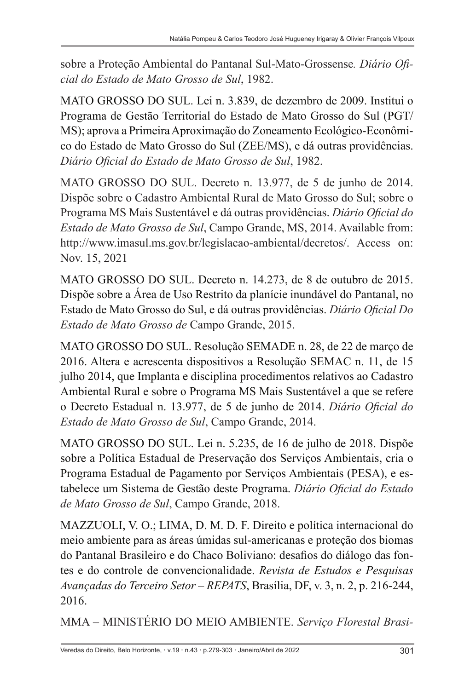sobre a Proteção Ambiental do Pantanal Sul-Mato-Grossense*. Diário Oficial do Estado de Mato Grosso de Sul*, 1982.

MATO GROSSO DO SUL. Lei n. 3.839, de dezembro de 2009. Institui o Programa de Gestão Territorial do Estado de Mato Grosso do Sul (PGT/ MS); aprova a Primeira Aproximação do Zoneamento Ecológico-Econômico do Estado de Mato Grosso do Sul (ZEE/MS), e dá outras providências. *Diário Oficial do Estado de Mato Grosso de Sul*, 1982.

MATO GROSSO DO SUL. Decreto n. 13.977, de 5 de junho de 2014. Dispõe sobre o Cadastro Ambiental Rural de Mato Grosso do Sul; sobre o Programa MS Mais Sustentável e dá outras providências. *Diário Oficial do Estado de Mato Grosso de Sul*, Campo Grande, MS, 2014. Available from: http://www.imasul.ms.gov.br/legislacao-ambiental/decretos/. Access on: Nov. 15, 2021

MATO GROSSO DO SUL. Decreto n. 14.273, de 8 de outubro de 2015. Dispõe sobre a Área de Uso Restrito da planície inundável do Pantanal, no Estado de Mato Grosso do Sul, e dá outras providências. *Diário Oficial Do Estado de Mato Grosso de* Campo Grande, 2015.

MATO GROSSO DO SUL. Resolução SEMADE n. 28, de 22 de março de 2016. Altera e acrescenta dispositivos a Resolução SEMAC n. 11, de 15 julho 2014, que Implanta e disciplina procedimentos relativos ao Cadastro Ambiental Rural e sobre o Programa MS Mais Sustentável a que se refere o Decreto Estadual n. 13.977, de 5 de junho de 2014. *Diário Oficial do Estado de Mato Grosso de Sul*, Campo Grande, 2014.

MATO GROSSO DO SUL. Lei n. 5.235, de 16 de julho de 2018. Dispõe sobre a Política Estadual de Preservação dos Serviços Ambientais, cria o Programa Estadual de Pagamento por Serviços Ambientais (PESA), e estabelece um Sistema de Gestão deste Programa. *Diário Oficial do Estado de Mato Grosso de Sul*, Campo Grande, 2018.

MAZZUOLI, V. O.; LIMA, D. M. D. F. Direito e política internacional do meio ambiente para as áreas úmidas sul-americanas e proteção dos biomas do Pantanal Brasileiro e do Chaco Boliviano: desafios do diálogo das fontes e do controle de convencionalidade. *Revista de Estudos e Pesquisas Avançadas do Terceiro Setor – REPATS*, Brasília, DF, v. 3, n. 2, p. 216-244, 2016.

MMA – MINISTÉRIO DO MEIO AMBIENTE. *Serviço Florestal Brasi-*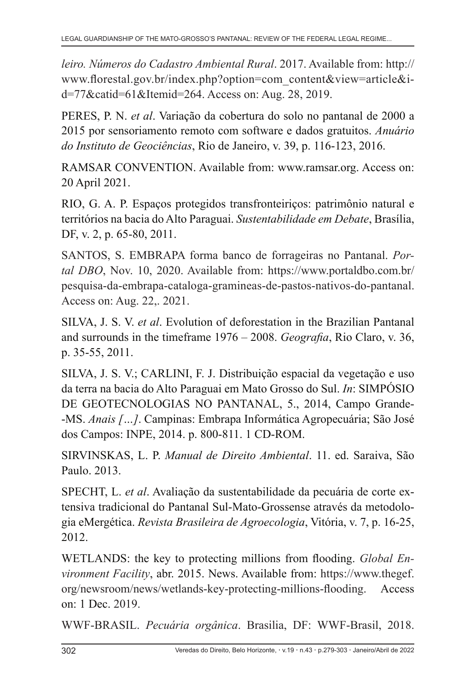*leiro. Números do Cadastro Ambiental Rural*. 2017. Available from: http:// www.florestal.gov.br/index.php?option=com\_content&view=article&id=77&catid=61&Itemid=264. Access on: Aug. 28, 2019.

PERES, P. N. *et al*. Variação da cobertura do solo no pantanal de 2000 a 2015 por sensoriamento remoto com software e dados gratuitos. *Anuário do Instituto de Geociências*, Rio de Janeiro, v. 39, p. 116-123, 2016.

RAMSAR CONVENTION. Available from: www.ramsar.org. Access on: 20 April 2021.

RIO, G. A. P. Espaços protegidos transfronteiriços: patrimônio natural e territórios na bacia do Alto Paraguai. *Sustentabilidade em Debate*, Brasília, DF, v. 2, p. 65-80, 2011.

SANTOS, S. EMBRAPA forma banco de forrageiras no Pantanal. *Portal DBO*, Nov. 10, 2020. Available from: https://www.portaldbo.com.br/ pesquisa-da-embrapa-cataloga-gramineas-de-pastos-nativos-do-pantanal. Access on: Aug. 22,. 2021.

SILVA, J. S. V. *et al*. Evolution of deforestation in the Brazilian Pantanal and surrounds in the timeframe 1976 – 2008. *Geografia*, Rio Claro, v. 36, p. 35-55, 2011.

SILVA, J. S. V.; CARLINI, F. J. Distribuição espacial da vegetação e uso da terra na bacia do Alto Paraguai em Mato Grosso do Sul. *In*: SIMPÓSIO DE GEOTECNOLOGIAS NO PANTANAL, 5., 2014, Campo Grande- -MS. *Anais […]*. Campinas: Embrapa Informática Agropecuária; São José dos Campos: INPE, 2014. p. 800-811. 1 CD-ROM.

SIRVINSKAS, L. P. *Manual de Direito Ambiental*. 11. ed. Saraiva, São Paulo. 2013.

SPECHT, L. *et al*. Avaliação da sustentabilidade da pecuária de corte extensiva tradicional do Pantanal Sul-Mato-Grossense através da metodologia eMergética. *Revista Brasileira de Agroecologia*, Vitória, v. 7, p. 16-25, 2012.

WETLANDS: the key to protecting millions from flooding. *Global Environment Facility*, abr. 2015. News. Available from: https://www.thegef. org/newsroom/news/wetlands-key-protecting-millions-flooding. Access on: 1 Dec. 2019.

WWF-BRASIL. *Pecuária orgânica*. Brasilia, DF: WWF-Brasil, 2018.